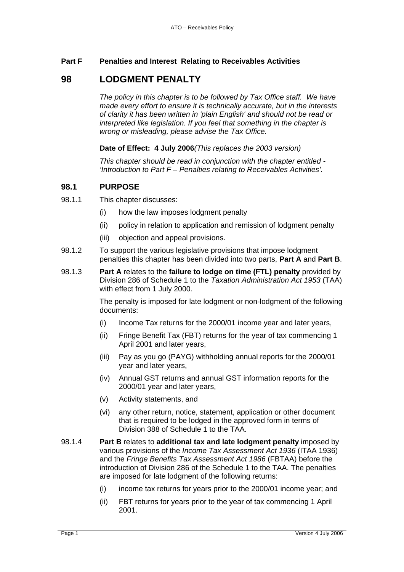## **Part F Penalties and Interest Relating to Receivables Activities**

# **98 LODGMENT PENALTY**

*The policy in this chapter is to be followed by Tax Office staff. We have made every effort to ensure it is technically accurate, but in the interests of clarity it has been written in 'plain English' and should not be read or interpreted like legislation. If you feel that something in the chapter is wrong or misleading, please advise the Tax Office.*

**Date of Effect: 4 July 2006***(This replaces the 2003 version)* 

*This chapter should be read in conjunction with the chapter entitled - 'Introduction to Part F – Penalties relating to Receivables Activities'.* 

# **98.1 PURPOSE**

- 98.1.1 This chapter discusses:
	- (i) how the law imposes lodgment penalty
	- (ii) policy in relation to application and remission of lodgment penalty
	- (iii) objection and appeal provisions.
- 98.1.2 To support the various legislative provisions that impose lodgment penalties this chapter has been divided into two parts, **Part A** and **Part B**.
- 98.1.3 **Part A** relates to the **failure to lodge on time (FTL) penalty** provided by Division 286 of Schedule 1 to the *Taxation Administration Act 1953* (TAA) with effect from 1 July 2000.

The penalty is imposed for late lodgment or non-lodgment of the following documents:

- (i) Income Tax returns for the 2000/01 income year and later years,
- (ii) Fringe Benefit Tax (FBT) returns for the year of tax commencing 1 April 2001 and later years,
- (iii) Pay as you go (PAYG) withholding annual reports for the 2000/01 year and later years,
- (iv) Annual GST returns and annual GST information reports for the 2000/01 year and later years,
- (v) Activity statements, and
- (vi) any other return, notice, statement, application or other document that is required to be lodged in the approved form in terms of Division 388 of Schedule 1 to the TAA.
- 98.1.4 **Part B** relates to **additional tax and late lodgment penalty** imposed by various provisions of the *Income Tax Assessment Act 1936* (ITAA 1936) and the *Fringe Benefits Tax Assessment Act 1986* (FBTAA) before the introduction of Division 286 of the Schedule 1 to the TAA. The penalties are imposed for late lodgment of the following returns:
	- (i) income tax returns for years prior to the 2000/01 income year; and
	- (ii) FBT returns for years prior to the year of tax commencing 1 April 2001.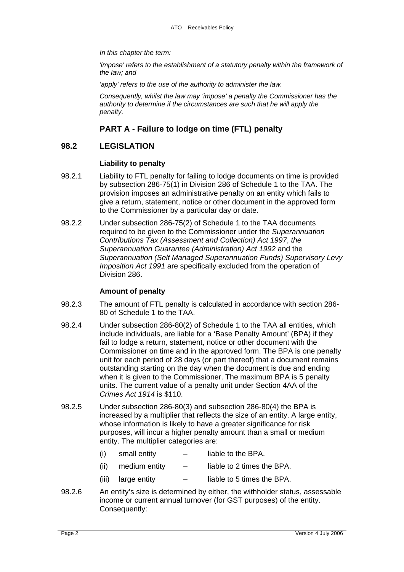*In this chapter the term:* 

*'impose' refers to the establishment of a statutory penalty within the framework of the law; and* 

*'apply' refers to the use of the authority to administer the law.* 

*Consequently, whilst the law may 'impose' a penalty the Commissioner has the authority to determine if the circumstances are such that he will apply the penalty.* 

# **PART A - Failure to lodge on time (FTL) penalty**

# **98.2 LEGISLATION**

### **Liability to penalty**

- 98.2.1 Liability to FTL penalty for failing to lodge documents on time is provided by subsection 286-75(1) in Division 286 of Schedule 1 to the TAA. The provision imposes an administrative penalty on an entity which fails to give a return, statement, notice or other document in the approved form to the Commissioner by a particular day or date.
- 98.2.2 Under subsection 286-75(2) of Schedule 1 to the TAA documents required to be given to the Commissioner under the *Superannuation Contributions Tax (Assessment and Collection) Act 1997*, *the Superannuation Guarantee (Administration) Act 1992* and the *Superannuation (Self Managed Superannuation Funds) Supervisory Levy Imposition Act 1991* are specifically excluded from the operation of Division 286.

### **Amount of penalty**

- 98.2.3 The amount of FTL penalty is calculated in accordance with section 286- 80 of Schedule 1 to the TAA.
- 98.2.4 Under subsection 286-80(2) of Schedule 1 to the TAA all entities, which include individuals, are liable for a 'Base Penalty Amount' (BPA) if they fail to lodge a return, statement, notice or other document with the Commissioner on time and in the approved form. The BPA is one penalty unit for each period of 28 days (or part thereof) that a document remains outstanding starting on the day when the document is due and ending when it is given to the Commissioner. The maximum BPA is 5 penalty units. The current value of a penalty unit under Section 4AA of the *Crimes Act 1914* is \$110.
- 98.2.5 Under subsection 286-80(3) and subsection 286-80(4) the BPA is increased by a multiplier that reflects the size of an entity. A large entity, whose information is likely to have a greater significance for risk purposes, will incur a higher penalty amount than a small or medium entity. The multiplier categories are:
	- $(i)$  small entity  $-$  liable to the BPA.
	- (ii) medium entity  $-$  liable to 2 times the BPA.
	- (iii) large entity  $-$  liable to 5 times the BPA.
- 98.2.6 An entity's size is determined by either, the withholder status, assessable income or current annual turnover (for GST purposes) of the entity. Consequently: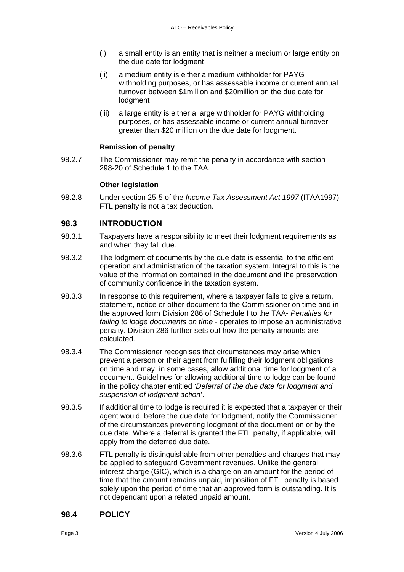- (i) a small entity is an entity that is neither a medium or large entity on the due date for lodgment
- (ii) a medium entity is either a medium withholder for PAYG withholding purposes, or has assessable income or current annual turnover between \$1million and \$20million on the due date for lodgment
- (iii) a large entity is either a large withholder for PAYG withholding purposes, or has assessable income or current annual turnover greater than \$20 million on the due date for lodgment.

### **Remission of penalty**

98.2.7 The Commissioner may remit the penalty in accordance with section 298-20 of Schedule 1 to the TAA.

### **Other legislation**

98.2.8 Under section 25-5 of the *Income Tax Assessment Act 1997* (ITAA1997) FTL penalty is not a tax deduction.

# **98.3 INTRODUCTION**

- 98.3.1 Taxpayers have a responsibility to meet their lodgment requirements as and when they fall due.
- 98.3.2 The lodgment of documents by the due date is essential to the efficient operation and administration of the taxation system. Integral to this is the value of the information contained in the document and the preservation of community confidence in the taxation system.
- 98.3.3 In response to this requirement, where a taxpayer fails to give a return, statement, notice or other document to the Commissioner on time and in the approved form Division 286 of Schedule I to the TAA- *Penalties for failing to lodge documents on time* - operates to impose an administrative penalty. Division 286 further sets out how the penalty amounts are calculated.
- 98.3.4 The Commissioner recognises that circumstances may arise which prevent a person or their agent from fulfilling their lodgment obligations on time and may, in some cases, allow additional time for lodgment of a document. Guidelines for allowing additional time to lodge can be found in the policy chapter entitled *'Deferral of the due date for lodgment and suspension of lodgment action*'.
- 98.3.5 If additional time to lodge is required it is expected that a taxpayer or their agent would, before the due date for lodgment, notify the Commissioner of the circumstances preventing lodgment of the document on or by the due date. Where a deferral is granted the FTL penalty, if applicable, will apply from the deferred due date.
- 98.3.6 FTL penalty is distinguishable from other penalties and charges that may be applied to safeguard Government revenues. Unlike the general interest charge (GIC), which is a charge on an amount for the period of time that the amount remains unpaid, imposition of FTL penalty is based solely upon the period of time that an approved form is outstanding. It is not dependant upon a related unpaid amount.

## **98.4 POLICY**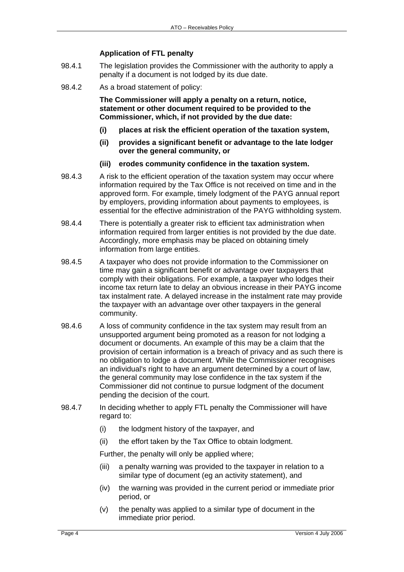### **Application of FTL penalty**

- 98.4.1 The legislation provides the Commissioner with the authority to apply a penalty if a document is not lodged by its due date.
- 98.4.2 As a broad statement of policy:

**The Commissioner will apply a penalty on a return, notice, statement or other document required to be provided to the Commissioner, which, if not provided by the due date:** 

- **(i) places at risk the efficient operation of the taxation system,**
- **(ii) provides a significant benefit or advantage to the late lodger over the general community, or**
- **(iii) erodes community confidence in the taxation system.**
- 98.4.3 A risk to the efficient operation of the taxation system may occur where information required by the Tax Office is not received on time and in the approved form. For example, timely lodgment of the PAYG annual report by employers, providing information about payments to employees, is essential for the effective administration of the PAYG withholding system.
- 98.4.4 There is potentially a greater risk to efficient tax administration when information required from larger entities is not provided by the due date. Accordingly, more emphasis may be placed on obtaining timely information from large entities.
- 98.4.5 A taxpayer who does not provide information to the Commissioner on time may gain a significant benefit or advantage over taxpayers that comply with their obligations. For example, a taxpayer who lodges their income tax return late to delay an obvious increase in their PAYG income tax instalment rate. A delayed increase in the instalment rate may provide the taxpayer with an advantage over other taxpayers in the general community.
- 98.4.6 A loss of community confidence in the tax system may result from an unsupported argument being promoted as a reason for not lodging a document or documents. An example of this may be a claim that the provision of certain information is a breach of privacy and as such there is no obligation to lodge a document. While the Commissioner recognises an individual's right to have an argument determined by a court of law, the general community may lose confidence in the tax system if the Commissioner did not continue to pursue lodgment of the document pending the decision of the court.
- 98.4.7 In deciding whether to apply FTL penalty the Commissioner will have regard to:
	- (i) the lodgment history of the taxpayer, and
	- (ii) the effort taken by the Tax Office to obtain lodgment.

Further, the penalty will only be applied where;

- (iii) a penalty warning was provided to the taxpayer in relation to a similar type of document (eg an activity statement), and
- (iv) the warning was provided in the current period or immediate prior period, or
- (v) the penalty was applied to a similar type of document in the immediate prior period.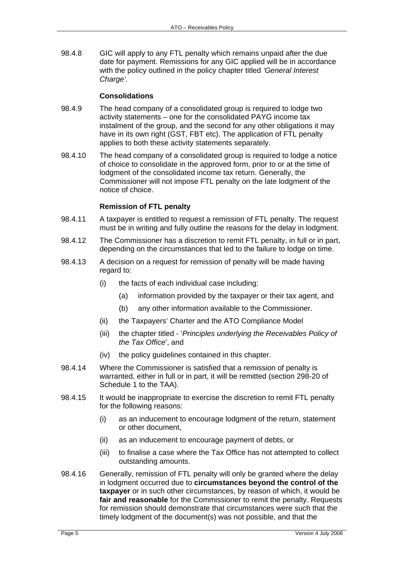98.4.8 GIC will apply to any FTL penalty which remains unpaid after the due date for payment. Remissions for any GIC applied will be in accordance with the policy outlined in the policy chapter titled *'General Interest Charge'.*

#### **Consolidations**

- 98.4.9 The head company of a consolidated group is required to lodge two activity statements – one for the consolidated PAYG income tax instalment of the group, and the second for any other obligations it may have in its own right (GST, FBT etc). The application of FTL penalty applies to both these activity statements separately.
- 98.4.10 The head company of a consolidated group is required to lodge a notice of choice to consolidate in the approved form, prior to or at the time of lodgment of the consolidated income tax return. Generally, the Commissioner will not impose FTL penalty on the late lodgment of the notice of choice.

#### **Remission of FTL penalty**

- 98.4.11 A taxpayer is entitled to request a remission of FTL penalty. The request must be in writing and fully outline the reasons for the delay in lodgment.
- 98.4.12 The Commissioner has a discretion to remit FTL penalty, in full or in part, depending on the circumstances that led to the failure to lodge on time.
- 98.4.13 A decision on a request for remission of penalty will be made having regard to:
	- (i) the facts of each individual case including:
		- (a) information provided by the taxpayer or their tax agent, and
		- (b) any other information available to the Commissioner.
	- (ii) the Taxpayers' Charter and the ATO Compliance Model
	- (iii) the chapter titled '*Principles underlying the Receivables Policy of the Tax Office*', and
	- (iv) the policy guidelines contained in this chapter.
- 98.4.14 Where the Commissioner is satisfied that a remission of penalty is warranted, either in full or in part, it will be remitted (section 298-20 of Schedule 1 to the TAA).
- 98.4.15 It would be inappropriate to exercise the discretion to remit FTL penalty for the following reasons:
	- (i) as an inducement to encourage lodgment of the return, statement or other document,
	- (ii) as an inducement to encourage payment of debts, or
	- (iii) to finalise a case where the Tax Office has not attempted to collect outstanding amounts.
- 98.4.16 Generally, remission of FTL penalty will only be granted where the delay in lodgment occurred due to **circumstances beyond the control of the taxpayer** or in such other circumstances, by reason of which, it would be **fair and reasonable** for the Commissioner to remit the penalty. Requests for remission should demonstrate that circumstances were such that the timely lodgment of the document(s) was not possible, and that the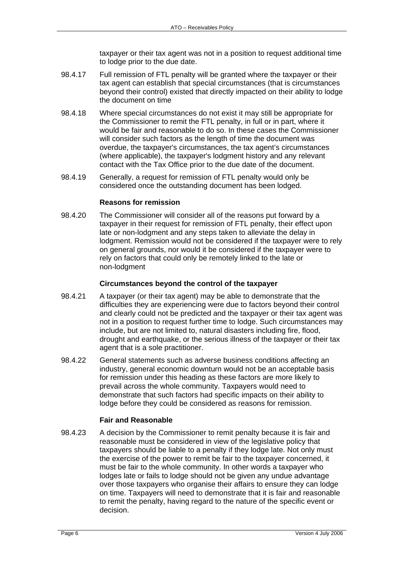taxpayer or their tax agent was not in a position to request additional time to lodge prior to the due date.

- 98.4.17 Full remission of FTL penalty will be granted where the taxpayer or their tax agent can establish that special circumstances (that is circumstances beyond their control) existed that directly impacted on their ability to lodge the document on time
- 98.4.18 Where special circumstances do not exist it may still be appropriate for the Commissioner to remit the FTL penalty, in full or in part, where it would be fair and reasonable to do so. In these cases the Commissioner will consider such factors as the length of time the document was overdue, the taxpayer's circumstances, the tax agent's circumstances (where applicable), the taxpayer's lodgment history and any relevant contact with the Tax Office prior to the due date of the document.
- 98.4.19 Generally, a request for remission of FTL penalty would only be considered once the outstanding document has been lodged.

### **Reasons for remission**

98.4.20 The Commissioner will consider all of the reasons put forward by a taxpayer in their request for remission of FTL penalty, their effect upon late or non-lodgment and any steps taken to alleviate the delay in lodgment. Remission would not be considered if the taxpayer were to rely on general grounds, nor would it be considered if the taxpayer were to rely on factors that could only be remotely linked to the late or non-lodgment

#### **Circumstances beyond the control of the taxpayer**

- 98.4.21 A taxpayer (or their tax agent) may be able to demonstrate that the difficulties they are experiencing were due to factors beyond their control and clearly could not be predicted and the taxpayer or their tax agent was not in a position to request further time to lodge. Such circumstances may include, but are not limited to, natural disasters including fire, flood, drought and earthquake, or the serious illness of the taxpayer or their tax agent that is a sole practitioner.
- 98.4.22 General statements such as adverse business conditions affecting an industry, general economic downturn would not be an acceptable basis for remission under this heading as these factors are more likely to prevail across the whole community. Taxpayers would need to demonstrate that such factors had specific impacts on their ability to lodge before they could be considered as reasons for remission.

### **Fair and Reasonable**

98.4.23 A decision by the Commissioner to remit penalty because it is fair and reasonable must be considered in view of the legislative policy that taxpayers should be liable to a penalty if they lodge late. Not only must the exercise of the power to remit be fair to the taxpayer concerned, it must be fair to the whole community. In other words a taxpayer who lodges late or fails to lodge should not be given any undue advantage over those taxpayers who organise their affairs to ensure they can lodge on time. Taxpayers will need to demonstrate that it is fair and reasonable to remit the penalty, having regard to the nature of the specific event or decision.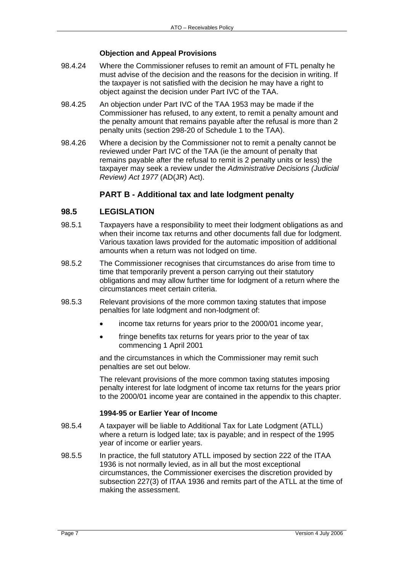### **Objection and Appeal Provisions**

- 98.4.24 Where the Commissioner refuses to remit an amount of FTL penalty he must advise of the decision and the reasons for the decision in writing. If the taxpayer is not satisfied with the decision he may have a right to object against the decision under Part IVC of the TAA.
- 98.4.25 An objection under Part IVC of the TAA 1953 may be made if the Commissioner has refused, to any extent, to remit a penalty amount and the penalty amount that remains payable after the refusal is more than 2 penalty units (section 298-20 of Schedule 1 to the TAA).
- 98.4.26 Where a decision by the Commissioner not to remit a penalty cannot be reviewed under Part IVC of the TAA (ie the amount of penalty that remains payable after the refusal to remit is 2 penalty units or less) the taxpayer may seek a review under the *Administrative Decisions (Judicial Review) Act 1977* (AD(JR) Act).

### **PART B - Additional tax and late lodgment penalty**

### **98.5 LEGISLATION**

- 98.5.1 Taxpayers have a responsibility to meet their lodgment obligations as and when their income tax returns and other documents fall due for lodgment. Various taxation laws provided for the automatic imposition of additional amounts when a return was not lodged on time.
- 98.5.2 The Commissioner recognises that circumstances do arise from time to time that temporarily prevent a person carrying out their statutory obligations and may allow further time for lodgment of a return where the circumstances meet certain criteria.
- 98.5.3 Relevant provisions of the more common taxing statutes that impose penalties for late lodgment and non-lodgment of:
	- income tax returns for years prior to the 2000/01 income year,
	- fringe benefits tax returns for years prior to the year of tax commencing 1 April 2001

and the circumstances in which the Commissioner may remit such penalties are set out below.

The relevant provisions of the more common taxing statutes imposing penalty interest for late lodgment of income tax returns for the years prior to the 2000/01 income year are contained in the appendix to this chapter.

#### **1994-95 or Earlier Year of Income**

- 98.5.4 A taxpayer will be liable to Additional Tax for Late Lodgment (ATLL) where a return is lodged late; tax is payable; and in respect of the 1995 year of income or earlier years.
- 98.5.5 In practice, the full statutory ATLL imposed by section 222 of the ITAA 1936 is not normally levied, as in all but the most exceptional circumstances, the Commissioner exercises the discretion provided by subsection 227(3) of ITAA 1936 and remits part of the ATLL at the time of making the assessment.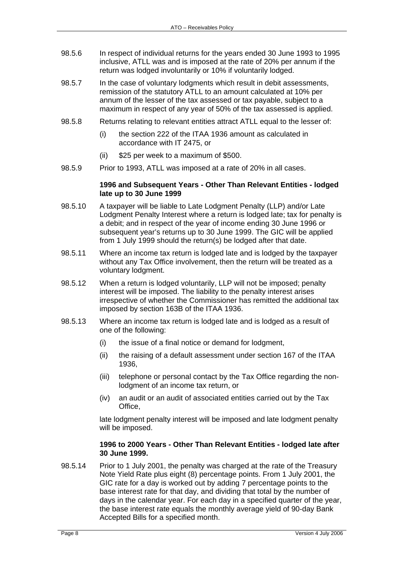- 98.5.6 In respect of individual returns for the years ended 30 June 1993 to 1995 inclusive, ATLL was and is imposed at the rate of 20% per annum if the return was lodged involuntarily or 10% if voluntarily lodged.
- 98.5.7 In the case of voluntary lodgments which result in debit assessments, remission of the statutory ATLL to an amount calculated at 10% per annum of the lesser of the tax assessed or tax payable, subject to a maximum in respect of any year of 50% of the tax assessed is applied.
- 98.5.8 Returns relating to relevant entities attract ATLL equal to the lesser of:
	- (i) the section 222 of the ITAA 1936 amount as calculated in accordance with IT 2475, or
	- (ii) \$25 per week to a maximum of \$500.
- 98.5.9 Prior to 1993, ATLL was imposed at a rate of 20% in all cases.

#### **1996 and Subsequent Years - Other Than Relevant Entities - lodged late up to 30 June 1999**

- 98.5.10 A taxpayer will be liable to Late Lodgment Penalty (LLP) and/or Late Lodgment Penalty Interest where a return is lodged late; tax for penalty is a debit; and in respect of the year of income ending 30 June 1996 or subsequent year's returns up to 30 June 1999. The GIC will be applied from 1 July 1999 should the return(s) be lodged after that date.
- 98.5.11 Where an income tax return is lodged late and is lodged by the taxpayer without any Tax Office involvement, then the return will be treated as a voluntary lodgment.
- 98.5.12 When a return is lodged voluntarily, LLP will not be imposed; penalty interest will be imposed. The liability to the penalty interest arises irrespective of whether the Commissioner has remitted the additional tax imposed by section 163B of the ITAA 1936.
- 98.5.13 Where an income tax return is lodged late and is lodged as a result of one of the following:
	- (i) the issue of a final notice or demand for lodgment,
	- (ii) the raising of a default assessment under section 167 of the ITAA 1936,
	- (iii) telephone or personal contact by the Tax Office regarding the nonlodgment of an income tax return, or
	- (iv) an audit or an audit of associated entities carried out by the Tax **Office**

late lodgment penalty interest will be imposed and late lodgment penalty will be imposed.

#### **1996 to 2000 Years - Other Than Relevant Entities - lodged late after 30 June 1999.**

98.5.14 Prior to 1 July 2001, the penalty was charged at the rate of the Treasury Note Yield Rate plus eight (8) percentage points. From 1 July 2001, the GIC rate for a day is worked out by adding 7 percentage points to the base interest rate for that day, and dividing that total by the number of days in the calendar year. For each day in a specified quarter of the year, the base interest rate equals the monthly average yield of 90-day Bank Accepted Bills for a specified month.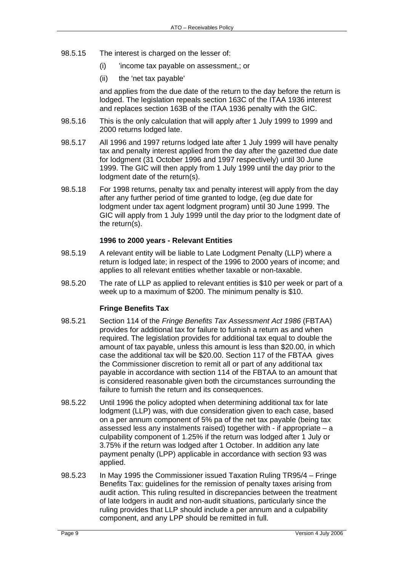- 98.5.15 The interest is charged on the lesser of:
	- (i) 'income tax payable on assessment,; or
	- (ii) the 'net tax payable'

and applies from the due date of the return to the day before the return is lodged. The legislation repeals section 163C of the ITAA 1936 interest and replaces section 163B of the ITAA 1936 penalty with the GIC.

- 98.5.16 This is the only calculation that will apply after 1 July 1999 to 1999 and 2000 returns lodged late.
- 98.5.17 All 1996 and 1997 returns lodged late after 1 July 1999 will have penalty tax and penalty interest applied from the day after the gazetted due date for lodgment (31 October 1996 and 1997 respectively) until 30 June 1999. The GIC will then apply from 1 July 1999 until the day prior to the lodgment date of the return(s).
- 98.5.18 For 1998 returns, penalty tax and penalty interest will apply from the day after any further period of time granted to lodge, (eg due date for lodgment under tax agent lodgment program) until 30 June 1999. The GIC will apply from 1 July 1999 until the day prior to the lodgment date of the return(s).

#### **1996 to 2000 years - Relevant Entities**

- 98.5.19 A relevant entity will be liable to Late Lodgment Penalty (LLP) where a return is lodged late; in respect of the 1996 to 2000 years of income; and applies to all relevant entities whether taxable or non-taxable.
- 98.5.20 The rate of LLP as applied to relevant entities is \$10 per week or part of a week up to a maximum of \$200. The minimum penalty is \$10.

#### **Fringe Benefits Tax**

- 98.5.21 Section 114 of the *Fringe Benefits Tax Assessment Act 1986* (FBTAA) provides for additional tax for failure to furnish a return as and when required. The legislation provides for additional tax equal to double the amount of tax payable, unless this amount is less than \$20.00, in which case the additional tax will be \$20.00. Section 117 of the FBTAA gives the Commissioner discretion to remit all or part of any additional tax payable in accordance with section 114 of the FBTAA to an amount that is considered reasonable given both the circumstances surrounding the failure to furnish the return and its consequences.
- 98.5.22 Until 1996 the policy adopted when determining additional tax for late lodgment (LLP) was, with due consideration given to each case, based on a per annum component of 5% pa of the net tax payable (being tax assessed less any instalments raised) together with - if appropriate – a culpability component of 1.25% if the return was lodged after 1 July or 3.75% if the return was lodged after 1 October. In addition any late payment penalty (LPP) applicable in accordance with section 93 was applied.
- 98.5.23 In May 1995 the Commissioner issued Taxation Ruling TR95/4 Fringe Benefits Tax: guidelines for the remission of penalty taxes arising from audit action. This ruling resulted in discrepancies between the treatment of late lodgers in audit and non-audit situations, particularly since the ruling provides that LLP should include a per annum and a culpability component, and any LPP should be remitted in full.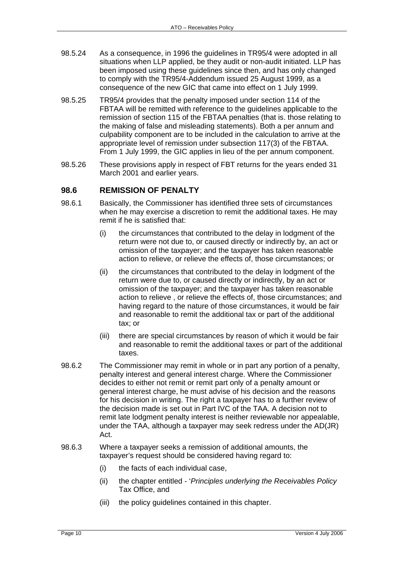- 98.5.24 As a consequence, in 1996 the guidelines in TR95/4 were adopted in all situations when LLP applied, be they audit or non-audit initiated. LLP has been imposed using these guidelines since then, and has only changed to comply with the TR95/4-Addendum issued 25 August 1999, as a consequence of the new GIC that came into effect on 1 July 1999.
- 98.5.25 TR95/4 provides that the penalty imposed under section 114 of the FBTAA will be remitted with reference to the guidelines applicable to the remission of section 115 of the FBTAA penalties (that is. those relating to the making of false and misleading statements). Both a per annum and culpability component are to be included in the calculation to arrive at the appropriate level of remission under subsection 117(3) of the FBTAA. From 1 July 1999, the GIC applies in lieu of the per annum component.
- 98.5.26 These provisions apply in respect of FBT returns for the years ended 31 March 2001 and earlier years.

# **98.6 REMISSION OF PENALTY**

- 98.6.1 Basically, the Commissioner has identified three sets of circumstances when he may exercise a discretion to remit the additional taxes. He may remit if he is satisfied that:
	- (i) the circumstances that contributed to the delay in lodgment of the return were not due to, or caused directly or indirectly by, an act or omission of the taxpayer; and the taxpayer has taken reasonable action to relieve, or relieve the effects of, those circumstances; or
	- (ii) the circumstances that contributed to the delay in lodgment of the return were due to, or caused directly or indirectly, by an act or omission of the taxpayer; and the taxpayer has taken reasonable action to relieve , or relieve the effects of, those circumstances; and having regard to the nature of those circumstances, it would be fair and reasonable to remit the additional tax or part of the additional tax; or
	- (iii) there are special circumstances by reason of which it would be fair and reasonable to remit the additional taxes or part of the additional taxes.
- 98.6.2 The Commissioner may remit in whole or in part any portion of a penalty, penalty interest and general interest charge. Where the Commissioner decides to either not remit or remit part only of a penalty amount or general interest charge, he must advise of his decision and the reasons for his decision in writing. The right a taxpayer has to a further review of the decision made is set out in Part IVC of the TAA. A decision not to remit late lodgment penalty interest is neither reviewable nor appealable, under the TAA, although a taxpayer may seek redress under the AD(JR) Act.
- 98.6.3 Where a taxpayer seeks a remission of additional amounts, the taxpayer's request should be considered having regard to:
	- (i) the facts of each individual case,
	- (ii) the chapter entitled '*Principles underlying the Receivables Policy* Tax Office, and
	- (iii) the policy guidelines contained in this chapter.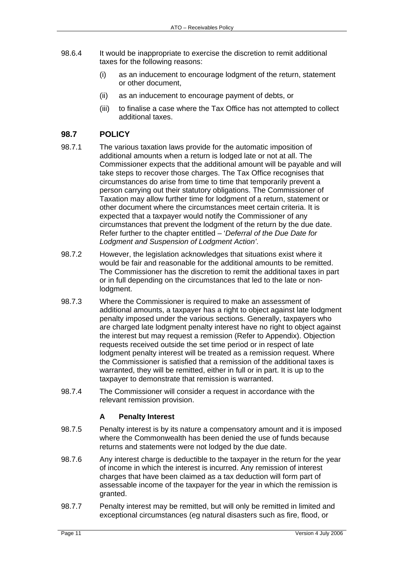- 98.6.4 It would be inappropriate to exercise the discretion to remit additional taxes for the following reasons:
	- (i) as an inducement to encourage lodgment of the return, statement or other document,
	- (ii) as an inducement to encourage payment of debts, or
	- (iii) to finalise a case where the Tax Office has not attempted to collect additional taxes.

# **98.7 POLICY**

- 98.7.1 The various taxation laws provide for the automatic imposition of additional amounts when a return is lodged late or not at all. The Commissioner expects that the additional amount will be payable and will take steps to recover those charges. The Tax Office recognises that circumstances do arise from time to time that temporarily prevent a person carrying out their statutory obligations. The Commissioner of Taxation may allow further time for lodgment of a return, statement or other document where the circumstances meet certain criteria. It is expected that a taxpayer would notify the Commissioner of any circumstances that prevent the lodgment of the return by the due date. Refer further to the chapter entitled – '*Deferral of the Due Date for Lodgment and Suspension of Lodgment Action'*.
- 98.7.2 However, the legislation acknowledges that situations exist where it would be fair and reasonable for the additional amounts to be remitted. The Commissioner has the discretion to remit the additional taxes in part or in full depending on the circumstances that led to the late or nonlodgment.
- 98.7.3 Where the Commissioner is required to make an assessment of additional amounts, a taxpayer has a right to object against late lodgment penalty imposed under the various sections. Generally, taxpayers who are charged late lodgment penalty interest have no right to object against the interest but may request a remission (Refer to Appendix). Objection requests received outside the set time period or in respect of late lodgment penalty interest will be treated as a remission request. Where the Commissioner is satisfied that a remission of the additional taxes is warranted, they will be remitted, either in full or in part. It is up to the taxpayer to demonstrate that remission is warranted.
- 98.7.4 The Commissioner will consider a request in accordance with the relevant remission provision.

## **A Penalty Interest**

- 98.7.5 Penalty interest is by its nature a compensatory amount and it is imposed where the Commonwealth has been denied the use of funds because returns and statements were not lodged by the due date.
- 98.7.6 Any interest charge is deductible to the taxpayer in the return for the year of income in which the interest is incurred. Any remission of interest charges that have been claimed as a tax deduction will form part of assessable income of the taxpayer for the year in which the remission is granted.
- 98.7.7 Penalty interest may be remitted, but will only be remitted in limited and exceptional circumstances (eg natural disasters such as fire, flood, or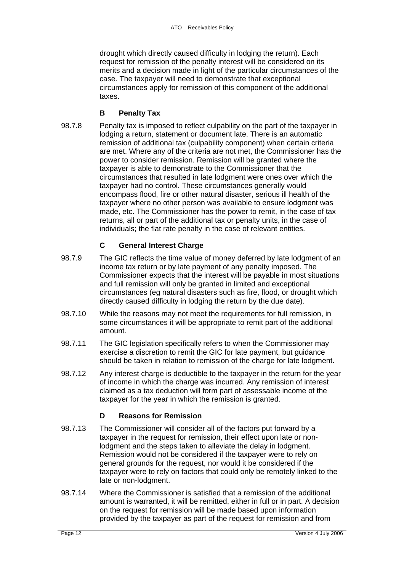drought which directly caused difficulty in lodging the return). Each request for remission of the penalty interest will be considered on its merits and a decision made in light of the particular circumstances of the case. The taxpayer will need to demonstrate that exceptional circumstances apply for remission of this component of the additional taxes.

## **B Penalty Tax**

98.7.8 Penalty tax is imposed to reflect culpability on the part of the taxpayer in lodging a return, statement or document late. There is an automatic remission of additional tax (culpability component) when certain criteria are met. Where any of the criteria are not met, the Commissioner has the power to consider remission. Remission will be granted where the taxpayer is able to demonstrate to the Commissioner that the circumstances that resulted in late lodgment were ones over which the taxpayer had no control. These circumstances generally would encompass flood, fire or other natural disaster, serious ill health of the taxpayer where no other person was available to ensure lodgment was made, etc. The Commissioner has the power to remit, in the case of tax returns, all or part of the additional tax or penalty units, in the case of individuals; the flat rate penalty in the case of relevant entities.

### **C General Interest Charge**

- 98.7.9 The GIC reflects the time value of money deferred by late lodgment of an income tax return or by late payment of any penalty imposed. The Commissioner expects that the interest will be payable in most situations and full remission will only be granted in limited and exceptional circumstances (eg natural disasters such as fire, flood, or drought which directly caused difficulty in lodging the return by the due date).
- 98.7.10 While the reasons may not meet the requirements for full remission, in some circumstances it will be appropriate to remit part of the additional amount.
- 98.7.11 The GIC legislation specifically refers to when the Commissioner may exercise a discretion to remit the GIC for late payment, but guidance should be taken in relation to remission of the charge for late lodgment.
- 98.7.12 Any interest charge is deductible to the taxpayer in the return for the year of income in which the charge was incurred. Any remission of interest claimed as a tax deduction will form part of assessable income of the taxpayer for the year in which the remission is granted.

## **D Reasons for Remission**

- 98.7.13 The Commissioner will consider all of the factors put forward by a taxpayer in the request for remission, their effect upon late or nonlodgment and the steps taken to alleviate the delay in lodgment. Remission would not be considered if the taxpayer were to rely on general grounds for the request, nor would it be considered if the taxpayer were to rely on factors that could only be remotely linked to the late or non-lodgment.
- 98.7.14 Where the Commissioner is satisfied that a remission of the additional amount is warranted, it will be remitted, either in full or in part. A decision on the request for remission will be made based upon information provided by the taxpayer as part of the request for remission and from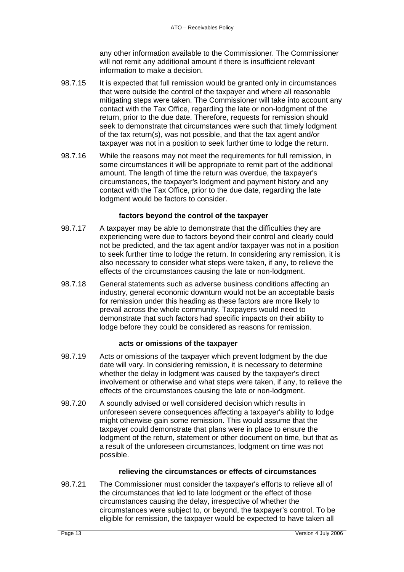any other information available to the Commissioner. The Commissioner will not remit any additional amount if there is insufficient relevant information to make a decision.

- 98.7.15 It is expected that full remission would be granted only in circumstances that were outside the control of the taxpayer and where all reasonable mitigating steps were taken. The Commissioner will take into account any contact with the Tax Office, regarding the late or non-lodgment of the return, prior to the due date. Therefore, requests for remission should seek to demonstrate that circumstances were such that timely lodgment of the tax return(s), was not possible, and that the tax agent and/or taxpayer was not in a position to seek further time to lodge the return.
- 98.7.16 While the reasons may not meet the requirements for full remission, in some circumstances it will be appropriate to remit part of the additional amount. The length of time the return was overdue, the taxpayer's circumstances, the taxpayer's lodgment and payment history and any contact with the Tax Office, prior to the due date, regarding the late lodgment would be factors to consider.

### **factors beyond the control of the taxpayer**

- 98.7.17 A taxpayer may be able to demonstrate that the difficulties they are experiencing were due to factors beyond their control and clearly could not be predicted, and the tax agent and/or taxpayer was not in a position to seek further time to lodge the return. In considering any remission, it is also necessary to consider what steps were taken, if any, to relieve the effects of the circumstances causing the late or non-lodgment.
- 98.7.18 General statements such as adverse business conditions affecting an industry, general economic downturn would not be an acceptable basis for remission under this heading as these factors are more likely to prevail across the whole community. Taxpayers would need to demonstrate that such factors had specific impacts on their ability to lodge before they could be considered as reasons for remission.

### **acts or omissions of the taxpayer**

- 98.7.19 Acts or omissions of the taxpayer which prevent lodgment by the due date will vary. In considering remission, it is necessary to determine whether the delay in lodgment was caused by the taxpayer's direct involvement or otherwise and what steps were taken, if any, to relieve the effects of the circumstances causing the late or non-lodgment.
- 98.7.20 A soundly advised or well considered decision which results in unforeseen severe consequences affecting a taxpayer's ability to lodge might otherwise gain some remission. This would assume that the taxpayer could demonstrate that plans were in place to ensure the lodgment of the return, statement or other document on time, but that as a result of the unforeseen circumstances, lodgment on time was not possible.

### **relieving the circumstances or effects of circumstances**

98.7.21 The Commissioner must consider the taxpayer's efforts to relieve all of the circumstances that led to late lodgment or the effect of those circumstances causing the delay, irrespective of whether the circumstances were subject to, or beyond, the taxpayer's control. To be eligible for remission, the taxpayer would be expected to have taken all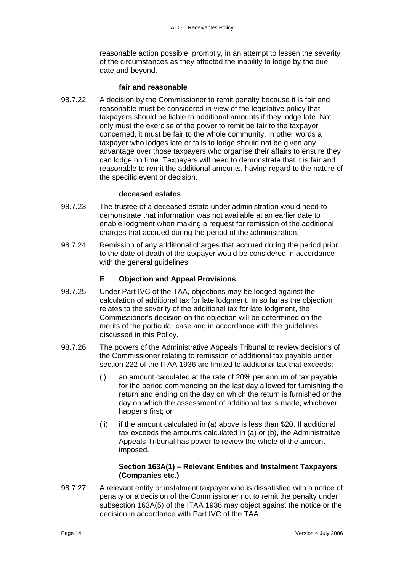reasonable action possible, promptly, in an attempt to lessen the severity of the circumstances as they affected the inability to lodge by the due date and beyond.

#### **fair and reasonable**

98.7.22 A decision by the Commissioner to remit penalty because it is fair and reasonable must be considered in view of the legislative policy that taxpayers should be liable to additional amounts if they lodge late. Not only must the exercise of the power to remit be fair to the taxpayer concerned, it must be fair to the whole community. In other words a taxpayer who lodges late or fails to lodge should not be given any advantage over those taxpayers who organise their affairs to ensure they can lodge on time. Taxpayers will need to demonstrate that it is fair and reasonable to remit the additional amounts, having regard to the nature of the specific event or decision.

#### **deceased estates**

- 98.7.23 The trustee of a deceased estate under administration would need to demonstrate that information was not available at an earlier date to enable lodgment when making a request for remission of the additional charges that accrued during the period of the administration.
- 98.7.24 Remission of any additional charges that accrued during the period prior to the date of death of the taxpayer would be considered in accordance with the general guidelines.

### **E Objection and Appeal Provisions**

- 98.7.25 Under Part IVC of the TAA, objections may be lodged against the calculation of additional tax for late lodgment. In so far as the objection relates to the severity of the additional tax for late lodgment, the Commissioner's decision on the objection will be determined on the merits of the particular case and in accordance with the guidelines discussed in this Policy.
- 98.7.26 The powers of the Administrative Appeals Tribunal to review decisions of the Commissioner relating to remission of additional tax payable under section 222 of the ITAA 1936 are limited to additional tax that exceeds:
	- (i) an amount calculated at the rate of 20% per annum of tax payable for the period commencing on the last day allowed for furnishing the return and ending on the day on which the return is furnished or the day on which the assessment of additional tax is made, whichever happens first; or
	- (ii) if the amount calculated in (a) above is less than \$20. If additional tax exceeds the amounts calculated in (a) or (b), the Administrative Appeals Tribunal has power to review the whole of the amount imposed.

### **Section 163A(1) – Relevant Entities and Instalment Taxpayers (Companies etc.)**

98.7.27 A relevant entity or instalment taxpayer who is dissatisfied with a notice of penalty or a decision of the Commissioner not to remit the penalty under subsection 163A(5) of the ITAA 1936 may object against the notice or the decision in accordance with Part IVC of the TAA.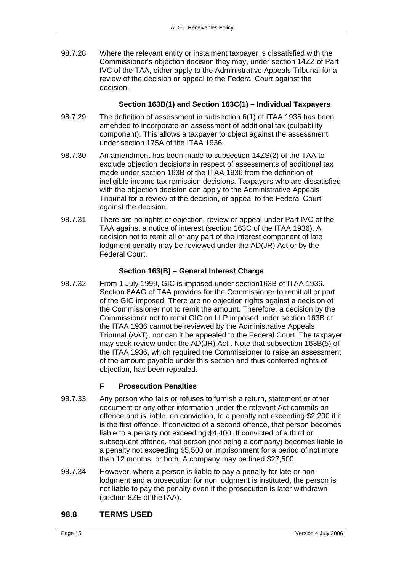98.7.28 Where the relevant entity or instalment taxpayer is dissatisfied with the Commissioner's objection decision they may, under section 14ZZ of Part IVC of the TAA, either apply to the Administrative Appeals Tribunal for a review of the decision or appeal to the Federal Court against the decision.

### **Section 163B(1) and Section 163C(1) – Individual Taxpayers**

- 98.7.29 The definition of assessment in subsection 6(1) of ITAA 1936 has been amended to incorporate an assessment of additional tax (culpability component). This allows a taxpayer to object against the assessment under section 175A of the ITAA 1936.
- 98.7.30 An amendment has been made to subsection 14ZS(2) of the TAA to exclude objection decisions in respect of assessments of additional tax made under section 163B of the ITAA 1936 from the definition of ineligible income tax remission decisions. Taxpayers who are dissatisfied with the objection decision can apply to the Administrative Appeals Tribunal for a review of the decision, or appeal to the Federal Court against the decision.
- 98.7.31 There are no rights of objection, review or appeal under Part IVC of the TAA against a notice of interest (section 163C of the ITAA 1936). A decision not to remit all or any part of the interest component of late lodgment penalty may be reviewed under the AD(JR) Act or by the Federal Court.

### **Section 163(B) – General Interest Charge**

98.7.32 From 1 July 1999, GIC is imposed under section163B of ITAA 1936. Section 8AAG of TAA provides for the Commissioner to remit all or part of the GIC imposed. There are no objection rights against a decision of the Commissioner not to remit the amount. Therefore, a decision by the Commissioner not to remit GIC on LLP imposed under section 163B of the ITAA 1936 cannot be reviewed by the Administrative Appeals Tribunal (AAT), nor can it be appealed to the Federal Court. The taxpayer may seek review under the AD(JR) Act . Note that subsection 163B(5) of the ITAA 1936, which required the Commissioner to raise an assessment of the amount payable under this section and thus conferred rights of objection, has been repealed.

## **F Prosecution Penalties**

- 98.7.33 Any person who fails or refuses to furnish a return, statement or other document or any other information under the relevant Act commits an offence and is liable, on conviction, to a penalty not exceeding \$2,200 if it is the first offence. If convicted of a second offence, that person becomes liable to a penalty not exceeding \$4,400. If convicted of a third or subsequent offence, that person (not being a company) becomes liable to a penalty not exceeding \$5,500 or imprisonment for a period of not more than 12 months, or both. A company may be fined \$27,500.
- 98.7.34 However, where a person is liable to pay a penalty for late or nonlodgment and a prosecution for non lodgment is instituted, the person is not liable to pay the penalty even if the prosecution is later withdrawn (section 8ZE of theTAA).

## **98.8 TERMS USED**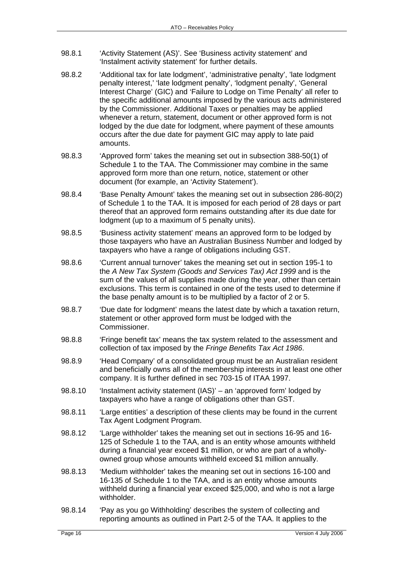- 98.8.1 'Activity Statement (AS)'. See 'Business activity statement' and 'Instalment activity statement' for further details.
- 98.8.2 'Additional tax for late lodgment', 'administrative penalty', 'late lodgment penalty interest,' 'late lodgment penalty', 'lodgment penalty', 'General Interest Charge' (GIC) and 'Failure to Lodge on Time Penalty' all refer to the specific additional amounts imposed by the various acts administered by the Commissioner. Additional Taxes or penalties may be applied whenever a return, statement, document or other approved form is not lodged by the due date for lodgment, where payment of these amounts occurs after the due date for payment GIC may apply to late paid amounts.
- 98.8.3 'Approved form' takes the meaning set out in subsection 388-50(1) of Schedule 1 to the TAA. The Commissioner may combine in the same approved form more than one return, notice, statement or other document (for example, an 'Activity Statement').
- 98.8.4 'Base Penalty Amount' takes the meaning set out in subsection 286-80(2) of Schedule 1 to the TAA. It is imposed for each period of 28 days or part thereof that an approved form remains outstanding after its due date for lodgment (up to a maximum of 5 penalty units).
- 98.8.5 'Business activity statement' means an approved form to be lodged by those taxpayers who have an Australian Business Number and lodged by taxpayers who have a range of obligations including GST.
- 98.8.6 'Current annual turnover' takes the meaning set out in section 195-1 to the *A New Tax System (Goods and Services Tax) Act 1999* and is the sum of the values of all supplies made during the year, other than certain exclusions. This term is contained in one of the tests used to determine if the base penalty amount is to be multiplied by a factor of 2 or 5.
- 98.8.7 'Due date for lodgment' means the latest date by which a taxation return, statement or other approved form must be lodged with the Commissioner.
- 98.8.8 'Fringe benefit tax' means the tax system related to the assessment and collection of tax imposed by the *Fringe Benefits Tax Act 1986*.
- 98.8.9 'Head Company' of a consolidated group must be an Australian resident and beneficially owns all of the membership interests in at least one other company. It is further defined in sec 703-15 of ITAA 1997.
- 98.8.10 'Instalment activity statement (IAS)' an 'approved form' lodged by taxpayers who have a range of obligations other than GST.
- 98.8.11 'Large entities' a description of these clients may be found in the current Tax Agent Lodgment Program.
- 98.8.12 'Large withholder' takes the meaning set out in sections 16-95 and 16- 125 of Schedule 1 to the TAA, and is an entity whose amounts withheld during a financial year exceed \$1 million, or who are part of a whollyowned group whose amounts withheld exceed \$1 million annually.
- 98.8.13 'Medium withholder' takes the meaning set out in sections 16-100 and 16-135 of Schedule 1 to the TAA, and is an entity whose amounts withheld during a financial year exceed \$25,000, and who is not a large withholder.
- 98.8.14 'Pay as you go Withholding' describes the system of collecting and reporting amounts as outlined in Part 2-5 of the TAA. It applies to the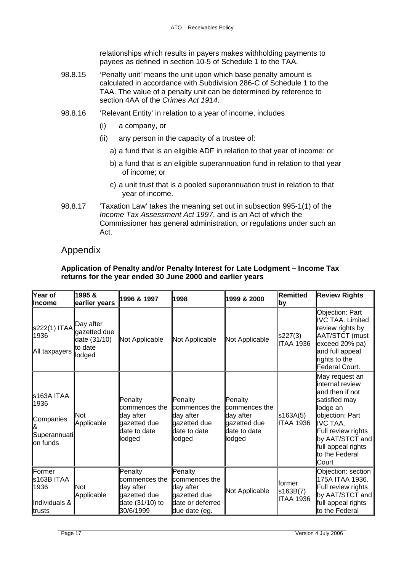relationships which results in payers makes withholding payments to payees as defined in section 10-5 of Schedule 1 to the TAA.

- 98.8.15 'Penalty unit' means the unit upon which base penalty amount is calculated in accordance with Subdivision 286-C of Schedule 1 to the TAA. The value of a penalty unit can be determined by reference to section 4AA of the *Crimes Act 1914*.
- 98.8.16 'Relevant Entity' in relation to a year of income, includes
	- (i) a company, or
	- (ii) any person in the capacity of a trustee of:
		- a) a fund that is an eligible ADF in relation to that year of income: or
		- b) a fund that is an eligible superannuation fund in relation to that year of income; or
		- c) a unit trust that is a pooled superannuation trust in relation to that year of income.
- 98.8.17 'Taxation Law' takes the meaning set out in subsection 995-1(1) of the *Income Tax Assessment Act 1997*, and is an Act of which the Commissioner has general administration, or regulations under such an Act.

# Appendix

### **Application of Penalty and/or Penalty Interest for Late Lodgment – Income Tax returns for the year ended 30 June 2000 and earlier years**

| Year of<br>llncome                                           | 1995 &<br>earlier years                                        | 1996 & 1997                                                                           | 1998                                                                                                | 1999 & 2000                                                                              | Remitted<br> by                         | <b>Review Rights</b>                                                                                                                                                                                         |
|--------------------------------------------------------------|----------------------------------------------------------------|---------------------------------------------------------------------------------------|-----------------------------------------------------------------------------------------------------|------------------------------------------------------------------------------------------|-----------------------------------------|--------------------------------------------------------------------------------------------------------------------------------------------------------------------------------------------------------------|
| \$222(1) ITAA<br>1936<br>All taxpayers                       | Day after<br>gazetted due<br>date (31/10)<br>to date<br>lodged | Not Applicable                                                                        | Not Applicable                                                                                      | Not Applicable                                                                           | s227(3)<br><b>ITAA 1936</b>             | Objection: Part<br>IVC TAA. Limited<br>review rights by<br>AAT/STCT (must<br>exceed 20% pa)<br>and full appeal<br>rights to the<br>Federal Court.                                                            |
| s163A ITAA<br>1936<br>Companies<br>Superannuati<br>lon funds | <b>N</b> ot<br>Applicable                                      | Penalty<br>commences the<br>day after<br>gazetted due<br>date to date<br>lodged       | Penalty<br><b>c</b> ommences the<br>day after<br>gazetted due<br>date to date<br>lodged             | Penalty<br><b>l</b> commences the<br>day after<br>gazetted due<br>date to date<br>lodged | s163A(5)<br><b>ITAA 1936</b>            | May request an<br>internal review<br>and then if not<br>satisfied may<br>lodge an<br>objection: Part<br>IVC TAA.<br>Full review rights<br>by $AAT/STCT$ and<br>full appeal rights<br>to the Federal<br>Court |
| Former<br>s163B ITAA<br>1936<br>Individuals &<br>trusts      | <b>N</b> ot<br>Applicable                                      | Penalty<br>commences the<br>day after<br>gazetted due<br>date (31/10) to<br>30/6/1999 | Penalty<br><b>l</b> commences the<br>day after<br>gazetted due<br>date or deferred<br>due date (eg. | Not Applicable                                                                           | lformer<br>s163B(7)<br><b>ITAA 1936</b> | Objection: section<br>175A ITAA 1936.<br>Full review rights<br>by AAT/STCT and<br>full appeal rights<br>to the Federal                                                                                       |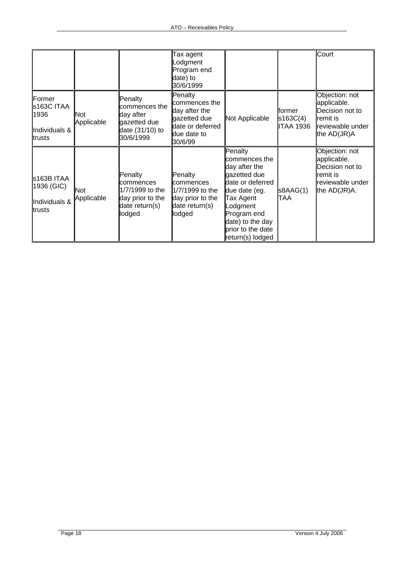|                                                         |                   |                                                                                         | Tax agent<br>_odgment<br>Program end<br>date) to<br>30/6/1999                                           |                                                                                                                                                                                                     |                                         | Court                                                                                               |
|---------------------------------------------------------|-------------------|-----------------------------------------------------------------------------------------|---------------------------------------------------------------------------------------------------------|-----------------------------------------------------------------------------------------------------------------------------------------------------------------------------------------------------|-----------------------------------------|-----------------------------------------------------------------------------------------------------|
| Former<br>s163C ITAA<br>1936<br>Individuals &<br>trusts | Not<br>Applicable | Penalty<br>commences the<br>day after<br>gazetted due<br>date (31/10) to<br>30/6/1999   | Penalty<br>commences the<br>day after the<br>gazetted due<br>date or deferred<br>due date to<br>30/6/99 | Not Applicable                                                                                                                                                                                      | lformer<br>s163C(4)<br><b>ITAA 1936</b> | Objection: not<br>applicable.<br>Decision not to<br>remit is<br>reviewable under<br>the $AD(JR)A$   |
| s163B ITAA<br>1936 (GIC)<br>Individuals &<br>trusts     | Not<br>Applicable | Penalty<br>commences<br>1/7/1999 to the<br>day prior to the<br>date return(s)<br>lodged | Penalty<br>commences<br>1/7/1999 to the<br>day prior to the<br>date return(s)<br>lodged                 | Penalty<br>commences the<br>day after the<br>gazetted due<br>date or deferred<br>due date (eg.<br>Tax Agent<br>Lodgment<br>Program end<br>date) to the day<br>prior to the date<br>return(s) lodged | s8AAG(1)<br>TAA                         | Objection: not<br>applicable.<br>Decision not to<br>remit is<br>reviewable under<br>the $AD(JR)A$ . |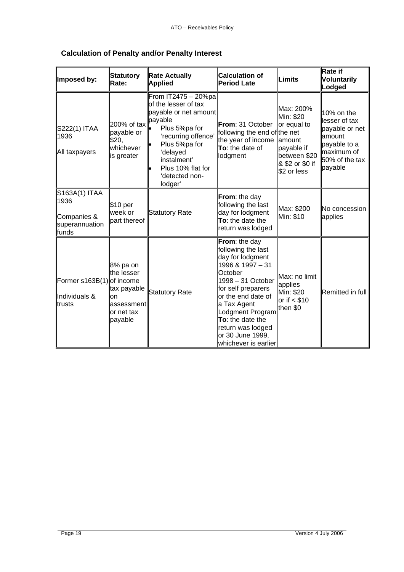| Imposed by:                                                     | <b>Statutory</b><br>Rate:                                                          | <b>Rate Actually</b><br><b>Applied</b>                                                                                                                                                                                            | <b>Calculation of</b><br><b>Period Late</b>                                                                                                                                                                                                                                     | <b>Limits</b>                                                                                         | Rate if<br><b>Voluntarily</b><br>Lodged                                                                              |
|-----------------------------------------------------------------|------------------------------------------------------------------------------------|-----------------------------------------------------------------------------------------------------------------------------------------------------------------------------------------------------------------------------------|---------------------------------------------------------------------------------------------------------------------------------------------------------------------------------------------------------------------------------------------------------------------------------|-------------------------------------------------------------------------------------------------------|----------------------------------------------------------------------------------------------------------------------|
| S222(1) ITAA<br>1936<br>All taxpayers                           | 200% of tax<br>payable or<br>\$20,<br>whichever<br>is greater                      | From IT2475 - 20%pa<br>of the lesser of tax<br>payable or net amount<br>payable<br>Plus 5%pa for<br>'recurring offence'<br>Plus 5%pa for<br>delayed <sup>*</sup><br>instalment'<br>Plus 10% flat for<br>'detected non-<br>lodger' | From: 31 October<br>following the end of the net<br>the year of income amount<br>To: the date of<br>lodgment                                                                                                                                                                    | Max: 200%<br>Min: \$20<br>or equal to<br>payable if<br>between \$20<br>& \$2 or \$0 if<br>\$2 or less | 10% on the<br>llesser of tax<br>payable or net<br>lamount<br>payable to a<br>maximum of<br>50% of the tax<br>payable |
| S163A(1) ITAA<br>1936<br>Companies &<br>superannuation<br>funds | \$10 per<br>week or<br>part thereof                                                | <b>Statutory Rate</b>                                                                                                                                                                                                             | From: the day<br>following the last<br>day for lodgment<br>To: the date the<br>return was lodged                                                                                                                                                                                | Max: \$200<br>Min: \$10                                                                               | No concession<br>applies                                                                                             |
| Former s163B(1) of income<br>Individuals &<br>trusts            | 8% pa on<br>the lesser<br>tax payable<br>on<br>assessment<br>or net tax<br>payable | Statutory Rate                                                                                                                                                                                                                    | From: the day<br>following the last<br>day for lodgment<br>1996 & 1997 - 31<br>October<br>1998 - 31 October<br>for self preparers<br>or the end date of<br>a Tax Agent<br>Lodgment Program<br>To: the date the<br>return was lodged<br>or 30 June 1999,<br>whichever is earlier | Max: no limit<br>applies<br>Min: \$20<br>$or$ if $<$ \$10<br>then \$0                                 | Remitted in full                                                                                                     |

# **Calculation of Penalty and/or Penalty Interest**